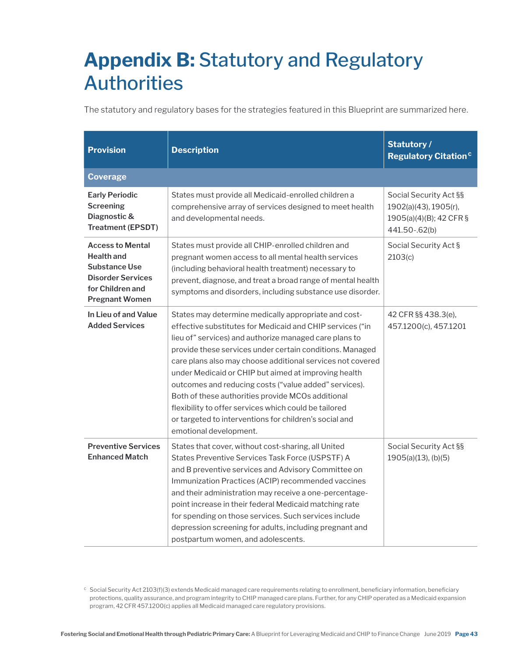## **Appendix B: Statutory and Regulatory** Authorities

The statutory and regulatory bases for the strategies featured in this Blueprint are summarized here.

| <b>Provision</b>                                                                                                                              | <b>Description</b>                                                                                                                                                                                                                                                                                                                                                                                                                                                                                                                                                                                                       | <b>Statutory/</b><br><b>Regulatory Citation<sup>c</sup></b>                                 |
|-----------------------------------------------------------------------------------------------------------------------------------------------|--------------------------------------------------------------------------------------------------------------------------------------------------------------------------------------------------------------------------------------------------------------------------------------------------------------------------------------------------------------------------------------------------------------------------------------------------------------------------------------------------------------------------------------------------------------------------------------------------------------------------|---------------------------------------------------------------------------------------------|
| <b>Coverage</b>                                                                                                                               |                                                                                                                                                                                                                                                                                                                                                                                                                                                                                                                                                                                                                          |                                                                                             |
| <b>Early Periodic</b><br><b>Screening</b><br>Diagnostic &<br><b>Treatment (EPSDT)</b>                                                         | States must provide all Medicaid-enrolled children a<br>comprehensive array of services designed to meet health<br>and developmental needs.                                                                                                                                                                                                                                                                                                                                                                                                                                                                              | Social Security Act §§<br>1902(a)(43), 1905(r),<br>1905(a)(4)(B); 42 CFR §<br>441.50-.62(b) |
| <b>Access to Mental</b><br><b>Health and</b><br><b>Substance Use</b><br><b>Disorder Services</b><br>for Children and<br><b>Pregnant Women</b> | States must provide all CHIP-enrolled children and<br>pregnant women access to all mental health services<br>(including behavioral health treatment) necessary to<br>prevent, diagnose, and treat a broad range of mental health<br>symptoms and disorders, including substance use disorder.                                                                                                                                                                                                                                                                                                                            | Social Security Act §<br>2103(c)                                                            |
| In Lieu of and Value<br><b>Added Services</b>                                                                                                 | States may determine medically appropriate and cost-<br>effective substitutes for Medicaid and CHIP services ("in<br>lieu of" services) and authorize managed care plans to<br>provide these services under certain conditions. Managed<br>care plans also may choose additional services not covered<br>under Medicaid or CHIP but aimed at improving health<br>outcomes and reducing costs ("value added" services).<br>Both of these authorities provide MCOs additional<br>flexibility to offer services which could be tailored<br>or targeted to interventions for children's social and<br>emotional development. | 42 CFR §§ 438.3(e),<br>457.1200(c), 457.1201                                                |
| <b>Preventive Services</b><br><b>Enhanced Match</b>                                                                                           | States that cover, without cost-sharing, all United<br>States Preventive Services Task Force (USPSTF) A<br>and B preventive services and Advisory Committee on<br>Immunization Practices (ACIP) recommended vaccines<br>and their administration may receive a one-percentage-<br>point increase in their federal Medicaid matching rate<br>for spending on those services. Such services include<br>depression screening for adults, including pregnant and<br>postpartum women, and adolescents.                                                                                                                       | Social Security Act §§<br>$1905(a)(13)$ , (b)(5)                                            |

<sup>C</sup> Social Security Act 2103(f)(3) extends Medicaid managed care requirements relating to enrollment, beneficiary information, beneficiary protections, quality assurance, and program integrity to CHIP managed care plans. Further, for any CHIP operated as a Medicaid expansion program, 42 CFR 457.1200(c) applies all Medicaid managed care regulatory provisions.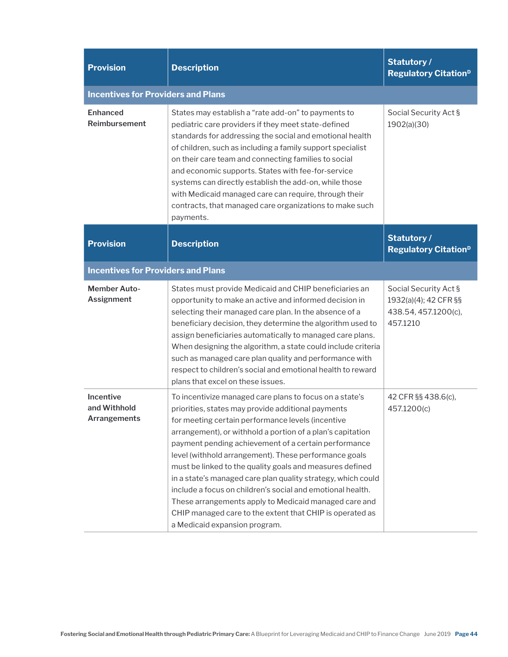| <b>Provision</b>                                 | <b>Description</b>                                                                                                                                                                                                                                                                                                                                                                                                                                                                                                                                                                                                                                                                                | Statutory/<br>Regulatory Citation <sup>D</sup>                                     |  |  |
|--------------------------------------------------|---------------------------------------------------------------------------------------------------------------------------------------------------------------------------------------------------------------------------------------------------------------------------------------------------------------------------------------------------------------------------------------------------------------------------------------------------------------------------------------------------------------------------------------------------------------------------------------------------------------------------------------------------------------------------------------------------|------------------------------------------------------------------------------------|--|--|
| <b>Incentives for Providers and Plans</b>        |                                                                                                                                                                                                                                                                                                                                                                                                                                                                                                                                                                                                                                                                                                   |                                                                                    |  |  |
| <b>Enhanced</b><br>Reimbursement                 | States may establish a "rate add-on" to payments to<br>pediatric care providers if they meet state-defined<br>standards for addressing the social and emotional health<br>of children, such as including a family support specialist<br>on their care team and connecting families to social<br>and economic supports. States with fee-for-service<br>systems can directly establish the add-on, while those<br>with Medicaid managed care can require, through their<br>contracts, that managed care organizations to make such<br>payments.                                                                                                                                                     | Social Security Act §<br>1902(a)(30)                                               |  |  |
| <b>Provision</b>                                 | <b>Description</b>                                                                                                                                                                                                                                                                                                                                                                                                                                                                                                                                                                                                                                                                                | Statutory/<br><b>Regulatory Citation</b> <sup>D</sup>                              |  |  |
| <b>Incentives for Providers and Plans</b>        |                                                                                                                                                                                                                                                                                                                                                                                                                                                                                                                                                                                                                                                                                                   |                                                                                    |  |  |
| <b>Member Auto-</b><br>Assignment                | States must provide Medicaid and CHIP beneficiaries an<br>opportunity to make an active and informed decision in<br>selecting their managed care plan. In the absence of a<br>beneficiary decision, they determine the algorithm used to<br>assign beneficiaries automatically to managed care plans.<br>When designing the algorithm, a state could include criteria<br>such as managed care plan quality and performance with<br>respect to children's social and emotional health to reward<br>plans that excel on these issues.                                                                                                                                                               | Social Security Act §<br>1932(a)(4); 42 CFR §§<br>438.54, 457.1200(c),<br>457.1210 |  |  |
| Incentive<br>and Withhold<br><b>Arrangements</b> | To incentivize managed care plans to focus on a state's<br>priorities, states may provide additional payments<br>for meeting certain performance levels (incentive<br>arrangement), or withhold a portion of a plan's capitation<br>payment pending achievement of a certain performance<br>level (withhold arrangement). These performance goals<br>must be linked to the quality goals and measures defined<br>in a state's managed care plan quality strategy, which could<br>include a focus on children's social and emotional health.<br>These arrangements apply to Medicaid managed care and<br>CHIP managed care to the extent that CHIP is operated as<br>a Medicaid expansion program. | 42 CFR §§ 438.6(c),<br>457.1200(c)                                                 |  |  |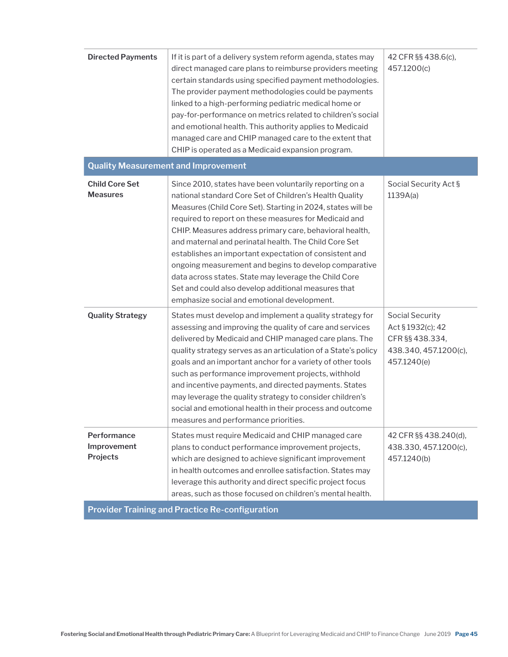| <b>Directed Payments</b>                               | If it is part of a delivery system reform agenda, states may<br>direct managed care plans to reimburse providers meeting<br>certain standards using specified payment methodologies.<br>The provider payment methodologies could be payments<br>linked to a high-performing pediatric medical home or<br>pay-for-performance on metrics related to children's social<br>and emotional health. This authority applies to Medicaid<br>managed care and CHIP managed care to the extent that<br>CHIP is operated as a Medicaid expansion program.                                                                                                   | 42 CFR §§ 438.6(c),<br>457.1200(c)                                                                     |  |  |
|--------------------------------------------------------|--------------------------------------------------------------------------------------------------------------------------------------------------------------------------------------------------------------------------------------------------------------------------------------------------------------------------------------------------------------------------------------------------------------------------------------------------------------------------------------------------------------------------------------------------------------------------------------------------------------------------------------------------|--------------------------------------------------------------------------------------------------------|--|--|
| <b>Quality Measurement and Improvement</b>             |                                                                                                                                                                                                                                                                                                                                                                                                                                                                                                                                                                                                                                                  |                                                                                                        |  |  |
| <b>Child Core Set</b><br><b>Measures</b>               | Since 2010, states have been voluntarily reporting on a<br>national standard Core Set of Children's Health Quality<br>Measures (Child Core Set). Starting in 2024, states will be<br>required to report on these measures for Medicaid and<br>CHIP. Measures address primary care, behavioral health,<br>and maternal and perinatal health. The Child Core Set<br>establishes an important expectation of consistent and<br>ongoing measurement and begins to develop comparative<br>data across states. State may leverage the Child Core<br>Set and could also develop additional measures that<br>emphasize social and emotional development. | Social Security Act §<br>1139A(a)                                                                      |  |  |
| <b>Quality Strategy</b>                                | States must develop and implement a quality strategy for<br>assessing and improving the quality of care and services<br>delivered by Medicaid and CHIP managed care plans. The<br>quality strategy serves as an articulation of a State's policy<br>goals and an important anchor for a variety of other tools<br>such as performance improvement projects, withhold<br>and incentive payments, and directed payments. States<br>may leverage the quality strategy to consider children's<br>social and emotional health in their process and outcome<br>measures and performance priorities.                                                    | <b>Social Security</b><br>Act § 1932(c); 42<br>CFR §§ 438.334,<br>438.340, 457.1200(c),<br>457.1240(e) |  |  |
| Performance<br>Improvement<br><b>Projects</b>          | States must require Medicaid and CHIP managed care<br>plans to conduct performance improvement projects,<br>which are designed to achieve significant improvement<br>in health outcomes and enrollee satisfaction. States may<br>leverage this authority and direct specific project focus<br>areas, such as those focused on children's mental health.                                                                                                                                                                                                                                                                                          | 42 CFR §§ 438.240(d),<br>438.330, 457.1200(c),<br>457.1240(b)                                          |  |  |
| <b>Provider Training and Practice Re-configuration</b> |                                                                                                                                                                                                                                                                                                                                                                                                                                                                                                                                                                                                                                                  |                                                                                                        |  |  |